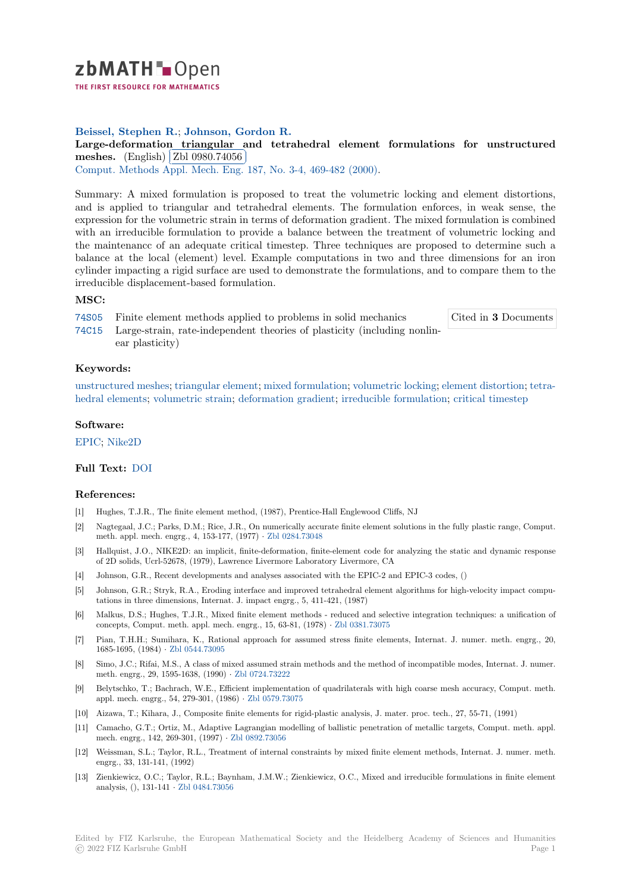

THE FIRST RESOURCE FOR MATHEMATICS

# **Beissel, Stephen R.**; **Johnson, Gordon R.**

[L](https://zbmath.org/)arge-deformation triangular and tetrahedral element formulations for unstructured **meshes.** (English) Zbl 0980.74056

**Comput.** Methods Appl. Mech. Eng. 187, No. 3-4, 469-482 (2000).

[Summary: A mixed formulation is proposed to treat the volumetric locking and element distortions,](https://zbmath.org/0980.74056) [and is ap](https://zbmath.org/0980.74056)plied tot[riangular and tetr](https://zbmath.org/0980.74056)ahedral elements. The formulation enforces, in weak sense, the [expression for the volumetric strain i](https://zbmath.org/journals/?q=se:64)[n terms of deformation gradie](https://zbmath.org/?q=in:66926)nt. The mixed formulation is combined with an irreducible formulation to provide a balance between the treatment of volumetric locking and the maintenancc of an adequate critical timestep. Three techniques are proposed to determine such a balance at the local (element) level. Example computations in two and three dimensions for an iron cylinder impacting a rigid surface are used to demonstrate the formulations, and to compare them to the irreducible displacement-based formulation.

### **MSC:**

74S05 Finite element methods applied to problems in solid mechanics

Cited in **3** Documents

74C15 Large-strain, rate-independent theories of plasticity (including nonlinear plasticity)

**[Keyw](https://zbmath.org/classification/?q=cc:74S05)ords:**

[unstru](https://zbmath.org/classification/?q=cc:74C15)ctured meshes; triangular element; mixed formulation; volumetric locking; element distortion; tetrahedral elements; volumetric strain; deformation gradient; irreducible formulation; critical timestep

### **Software:**

EPIC; [Nike2D](https://zbmath.org/?q=ut:unstructured+meshes)

## **Full Text:** DOI

### **[Refer](https://swmath.org/software/9033)[ences:](https://swmath.org/software/12115)**

- [1] Hughes, T.J.R., The finite element method, (1987), Prentice-Hall Englewood Cliffs, NJ
- [2] Nagtegaa[l, J.C.](https://dx.doi.org/10.1016/S0045-7825(99)00336-9); Parks, D.M.; Rice, J.R., On numerically accurate finite element solutions in the fully plastic range, Comput. meth. appl. mech. engrg., 4, 153-177, (1977) *·* Zbl 0284.73048
- [3] Hallquist, J.O., NIKE2D: an implicit, finite-deformation, finite-element code for analyzing the static and dynamic response of 2D solids, Ucrl-52678, (1979), Lawrence Livermore Laboratory Livermore, CA
- [4] Johnson, G.R., Recent developments and analyses associated with the EPIC-2 and EPIC-3 codes, ()
- [5] Johnson, G.R.; Stryk, R.A., Eroding interface [and improved t](https://zbmath.org/0284.73048)etrahedral element algorithms for high-velocity impact computations in three dimensions, Internat. J. impact engrg., 5, 411-421, (1987)
- [6] Malkus, D.S.; Hughes, T.J.R., Mixed finite element methods reduced and selective integration techniques: a unification of concepts, Comput. meth. appl. mech. engrg., 15, 63-81, (1978) *·* Zbl 0381.73075
- [7] Pian, T.H.H.; Sumihara, K., Rational approach for assumed stress finite elements, Internat. J. numer. meth. engrg., 20, 1685-1695, (1984) *·* Zbl 0544.73095
- [8] Simo, J.C.; Rifai, M.S., A class of mixed assumed strain methods and the method of incompatible modes, Internat. J. numer. meth. engrg., 29, 1595-1638, (1990) *·* Zbl 0724.73222
- [9] Belytschko, T.; Bachrach, W.E., Efficient implementation of quadrilaterals with high coarse mesh accuracy, Comput. meth. appl. mech. engrg., [54, 279-301, \(19](https://zbmath.org/0544.73095)86) *·* Zbl 0579.73075
- [10] Aizawa, T.; Kihara, J., Composite finite elements for rigid-plastic analysis, J. mater. proc. tech., 27, 55-71, (1991)
- [11] Camacho, G.T.; Ortiz, M., Adaptive [Lagrangian mo](https://zbmath.org/0724.73222)delling of ballistic penetration of metallic targets, Comput. meth. appl. mech. engrg., 142, 269-301, (1997) *·* Zbl 0892.73056
- [12] Weissman, S.L.; Taylor, R.L., Treatment [of internal con](https://zbmath.org/0579.73075)straints by mixed finite element methods, Internat. J. numer. meth. engrg., 33, 131-141, (1992)
- [13] Zienkiewicz, O.C.; Taylor, R.L.; Baynham, J.M.W.; Zienkiewicz, O.C., Mixed and irreducible formulations in finite element analysis, (), 131-141 *·* Zbl 0484.7305[6](https://zbmath.org/0892.73056)